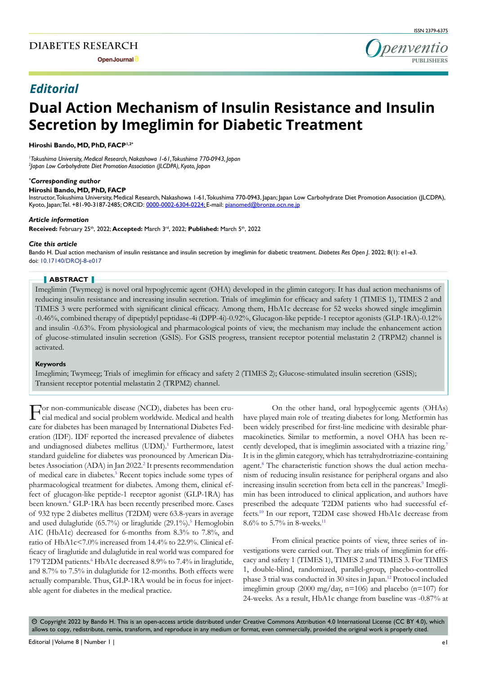**Open Journal**

# *Editorial*

# **Dual Action Mechanism of Insulin Resistance and Insulin Secretion by Imeglimin for Diabetic Treatment**

**Hiroshi Bando, MD, PhD, FACP1,2\***

*1 Tokushima University, Medical Research, Nakashowa 1-61, Tokushima 770-0943, Japan 2 Japan Low Carbohydrate Diet Promotion Association (JLCDPA), Kyoto, Japan*

#### *\* Corresponding author*

#### **Hiroshi Bando, MD, PhD, FACP**

Instructor, Tokushima University, Medical Research, Nakashowa 1-61, Tokushima 770-0943, Japan; Japan Low Carbohydrate Diet Promotion Association (JLCDPA), Kyoto, Japan; Tel. +81-90-3187-2485; ORCID: 0000-0002-6304-0224; E-mail: pianomed@bronze.ocn.ne.jp

#### *Article information*

Received: February 25<sup>th</sup>, 2022; Accepted: March 3<sup>rd</sup>, 2022; Published: March 5<sup>th</sup>, 2022

#### *Cite this article*

Bando H. Dual action mechanism of insulin resistance and insulin secretion by imeglimin for diabetic treatment. *Diabetes Res Open J*. 2022; 8(1): e1-e3. doi: [10.17140/DROJ-8-e017](http://dx.doi.org/10.17140/DROJ-8-e017)

#### **ABSTRACT**

Imeglimin (Twymeeg) is novel oral hypoglycemic agent (OHA) developed in the glimin category. It has dual action mechanisms of reducing insulin resistance and increasing insulin secretion. Trials of imeglimin for efficacy and safety 1 (TIMES 1), TIMES 2 and TIMES 3 were performed with significant clinical efficacy. Among them, HbA1c decrease for 52 weeks showed single imeglimin -0.46%, combined therapy of dipeptidyl peptidase-4i (DPP-4i)-0.92%, Glucagon-like peptide-1 receptor agonists (GLP-1RA)-0.12% and insulin -0.63%. From physiological and pharmacological points of view, the mechanism may include the enhancement action of glucose-stimulated insulin secretion (GSIS). For GSIS progress, transient receptor potential melastatin 2 (TRPM2) channel is activated.

#### **Keywords**

Imeglimin; Twymeeg; Trials of imeglimin for efficacy and safety 2 (TIMES 2); Glucose-stimulated insulin secretion (GSIS); Transient receptor potential melastatin 2 (TRPM2) channel.

For non-communicable disease (NCD), diabetes has been crucial medical and social problem worldwide. Medical and health care for diabetes has been managed by International Diabetes Federation (IDF). IDF reported the increased prevalence of diabetes and undiagnosed diabetes mellitus (UDM).<sup>1</sup> Furthermore, latest standard guideline for diabetes was pronounced by American Diabetes Association (ADA) in Jan 2022.<sup>2</sup> It presents recommendation of medical care in diabetes.<sup>3</sup> Recent topics include some types of pharmacological treatment for diabetes. Among them, clinical effect of glucagon-like peptide-1 receptor agonist (GLP-1RA) has been known.<sup>[4](#page-1-3)</sup> GLP-1RA has been recently prescribed more. Cases of 932 type 2 diabetes mellitus (T2DM) were 63.8-years in average and used dulaglutide (65.7%) or liraglutide (29.1%).<sup>5</sup> Hemoglobin A1C (HbA1c) decreased for 6-months from 8.3% to 7.8%, and ratio of HbA1c<7.0% increased from 14.4% to 22.9%. Clinical efficacy of liraglutide and dulaglutide in real world was compared for 179 T2DM patients.<sup>[6](#page-1-5)</sup> HbA1c decreased 8.9% to 7.4% in liraglutide, and 8.7% to 7.5% in dulaglutide for 12-months. Both effects were actually comparable. Thus, GLP-1RA would be in focus for injectable agent for diabetes in the medical practice.

On the other hand, oral hypoglycemic agents (OHAs) have played main role of treating diabetes for long. Metformin has been widely prescribed for first-line medicine with desirable pharmacokinetics. Similar to metformin, a novel OHA has been re-cently developed, that is imeglimin associated with a triazine ring.<sup>[7](#page-1-6)</sup> It is in the glimin category, which has tetrahydrotriazine-containing agent.<sup>[8](#page-2-0)</sup> The characteristic function shows the dual action mechanism of reducing insulin resistance for peripheral organs and also increasing insulin secretion from beta cell in the pancreas.<sup>9</sup> Imeglimin has been introduced to clinical application, and authors have prescribed the adequate T2DM patients who had successful effects.[10](#page-2-2) In our report, T2DM case showed HbA1c decrease from 8.6% to 5.7% in 8-weeks[.11](#page-2-3)

From clinical practice points of view, three series of investigations were carried out. They are trials of imeglimin for efficacy and safety 1 (TIMES 1), TIMES 2 and TIMES 3. For TIMES 1, double-blind, randomized, parallel-group, placebo-controlled phase 3 trial was conducted in 30 sites in Japan[.12](#page-2-4) Protocol included imeglimin group (2000 mg/day, n=106) and placebo (n=107) for 24-weeks. As a result, HbA1c change from baseline was -0.87% at

 $\circledcirc$  Copyright 2022 by Bando H. This is an open-access article distributed under Creative Commons Attribution 4.0 International License (CC BY 4.0), which allows to copy, redistribute, remix, transform, and reproduce in any medium or format, even commercially, provided the original work is properly cited.

**PUBLISHERS**

**Denventic**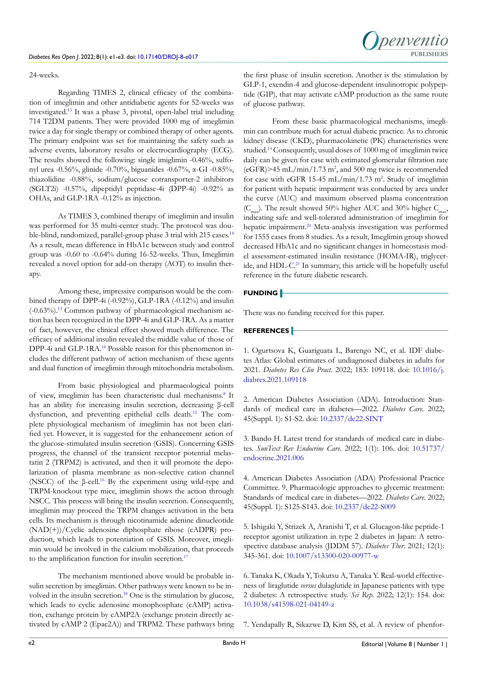Regarding TIMES 2, clinical efficacy of the combination of imeglimin and other antidiabetic agents for 52-weeks was investigated.[13](#page-2-5) It was a phase 3, pivotal, open-label trial including 714 T2DM patients. They were provided 1000 mg of imeglimin twice a day for single therapy or combined therapy of other agents. The primary endpoint was set for maintaining the safety such as adverse events, laboratory results or electrocardiography (ECG). The results showed the following: single imiglimin -0.46%, sulfonyl urea -0.56%, glinide -0.70%, biguanides -0.67%, α-GI -0.85%, thiazolidine -0.88%, sodium/glucose cotransporter-2 inhibitors (SGLT2i) -0.57%, dipeptidyl peptidase-4i (DPP-4i) -0.92% as OHAs, and GLP-1RA -0.12% as injection.

As TIMES 3, combined therapy of imeglimin and insulin was performed for 35 multi-center study. The protocol was double-blind, randomized, parallel-group phase 3 trial with 215 cases.<sup>14</sup> As a result, mean difference in HbA1c between study and control group was -0.60 to -0.64% during 16-52-weeks. Thus, Imeglimin revealed a novel option for add-on therapy (AOT) to insulin therapy.

Among these, impressive comparison would be the combined therapy of DPP-4i (-0.92%), GLP-1RA (-0.12%) and insulin (-0.63%)[.13](#page-2-5) Common pathway of pharmacological mechanism action has been recognized in the DPP-4i and GLP-1RA. As a matter of fact, however, the clinical effect showed much difference. The efficacy of additional insulin revealed the middle value of those of DPP-4i and GLP-1RA.<sup>[14](#page-2-6)</sup> Possible reason for this phenomenon includes the different pathway of action mechanism of these agents and dual function of imeglimin through mitochondria metabolism.

From basic physiological and pharmacological points of view, imeglimin has been characteristic dual mechanisms.<sup>[8](#page-2-0)</sup> It has an ability for increasing insulin secretion, decreasing β-cell dysfunction, and preventing epithelial cells death[.15](#page-2-7) The complete physiological mechanism of imeglimin has not been clarified yet. However, it is suggested for the enhancement action of the glucose-stimulated insulin secretion (GSIS). Concerning GSIS progress, the channel of the transient receptor potential melastatin 2 (TRPM2) is activated, and then it will promote the depolarization of plasma membrane as non-selective cation channel (NSCC) of the β-cell.[16](#page-2-8) By the experiment using wild-type and TRPM-knockout type mice, imeglimin shows the action through NSCC. This process will bring the insulin secretion. Consequently, imeglimin may proceed the TRPM changes activation in the beta cells. Its mechanism is through nicotinamide adenine dinucleotide (NAD(+))/Cyclic adenosine diphosphate ribose (cADPR) production, which leads to potentiation of GSIS. Moreover, imeglimin would be involved in the calcium mobilization, that proceeds to the amplification function for insulin secretion.<sup>17</sup>

The mechanism mentioned above would be probable insulin secretion by imeglimin. Other pathways were known to be in-volved in the insulin secretion.<sup>[18](#page-2-10)</sup> One is the stimulation by glucose, which leads to cyclic adenosine monophosphate (cAMP) activation, exchange protein by cAMP2A (exchange protein directly activated by cAMP 2 (Epac2A)) and TRPM2. These pathways bring the first phase of insulin secretion. Another is the stimulation by GLP-1, exendin-4 and glucose-dependent insulinotropic polypeptide (GIP), that may activate cAMP production as the same route of glucose pathway.

From these basic pharmacological mechanisms, imeglimin can contribute much for actual diabetic practice. As to chronic kidney disease (CKD), pharmacokinetic (PK) characteristics were studied.[19](#page-2-11) Consequently, usual doses of 1000 mg of imeglimin twice daily can be given for case with estimated glomerular filtration rate  $(eGFR)$  > 45 mL/min/1.73 m<sup>2</sup>, and 500 mg twice is recommended for case with eGFR 15-45 mL/min/1.73 m<sup>2</sup>. Study of imeglimin for patient with hepatic impairment was conducted by area under the curve (AUC) and maximum observed plasma concentration  $(C_{\text{max}})$ . The result showed 50% higher AUC and 30% higher  $C_{\text{max}}$ , indicating safe and well-tolerated administration of imeglimin for hepatic impairment.<sup>[20](#page-2-12)</sup> Meta-analysis investigation was performed for 1555 cases from 8 studies. As a result, Imeglimin group showed decreased HbA1c and no significant changes in homeostasis model assessment-estimated insulin resistance (HOMA-IR), triglyceride, and HDL-C.<sup>21</sup> In summary, this article will be hopefully useful reference in the future diabetic research.

## **FUNDING**

There was no funding received for this paper.

### **REFERENCES**

<span id="page-1-0"></span>1. Ogurtsova K, Guariguata L, Barengo NC, et al. IDF diabetes Atlas: Global estimates of undiagnosed diabetes in adults for 2021. *Diabetes Res Clin Pract*. 2022; 183: 109118. doi: [10.1016/j.](http://doi.org/10.1016/j.diabres.2021.109118) [diabres.2021.109118](http://doi.org/10.1016/j.diabres.2021.109118)

<span id="page-1-1"></span>2. American Diabetes Association (ADA). Introduction: Standards of medical care in diabetes—2022. *Diabetes Care.* 2022; 45(Suppl. 1): S1-S2. doi: [10.2337/dc22-SINT](http://doi.org/10.2337/dc22-SINT)

<span id="page-1-2"></span>3. Bando H. Latest trend for standards of medical care in diabetes. *SunText Rev Endocrine Care.* 2022; 1(1): 106. doi: [10.51737/](http://doi.org/10.51737/endocrine.2021.006) [endocrine.2021.006](http://doi.org/10.51737/endocrine.2021.006)

<span id="page-1-3"></span>4. American Diabetes Association (ADA) Professional Practice Committee. 9. Pharmacologic approaches to glycemic treatment: Standards of medical care in diabetes—2022. *Diabetes Care.* 2022; 45(Suppl. 1): S125-S143. doi: [10.2337/dc22-S009](http://doi.org/10.2337/dc22-S009)

<span id="page-1-4"></span>5. Ishigaki Y, Strizek A, Aranishi T, et al. Glucagon-like peptide-1 receptor agonist utilization in type 2 diabetes in Japan: A retrospective database analysis (JDDM 57). *Diabetes Ther*. 2021; 12(1): 345-361. doi: [10.1007/s13300-020-00977-w](http://doi.org/10.1007/s13300-020-00977-w)

<span id="page-1-5"></span>6. Tanaka K, Okada Y, Tokutsu A, Tanaka Y. Real-world effectiveness of liraglutide *versus* dulaglutide in Japanese patients with type 2 diabetes: A retrospective study. *Sci Rep*. 2022; 12(1): 154. doi: [10.1038/s41598-021-04149-z](http://doi.org/10.1038/s41598-021-04149-z)

<span id="page-1-6"></span>7. Yendapally R, Sikazwe D, Kim SS, et al. A review of phenfor-